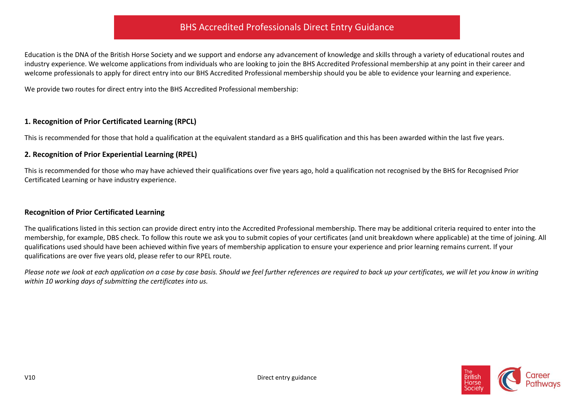## BHS Accredited Professionals Direct Entry Guidance

Education is the DNA of the British Horse Society and we support and endorse any advancement of knowledge and skills through a variety of educational routes and industry experience. We welcome applications from individuals who are looking to join the BHS Accredited Professional membership at any point in their career and welcome professionals to apply for direct entry into our BHS Accredited Professional membership should you be able to evidence your learning and experience.

We provide two routes for direct entry into the BHS Accredited Professional membership:

#### **1. Recognition of Prior Certificated Learning (RPCL)**

This is recommended for those that hold a qualification at the equivalent standard as a BHS qualification and this has been awarded within the last five years.

#### **2. Recognition of Prior Experiential Learning (RPEL)**

This is recommended for those who may have achieved their qualifications over five years ago, hold a qualification not recognised by the BHS for Recognised Prior Certificated Learning or have industry experience.

#### **Recognition of Prior Certificated Learning**

The qualifications listed in this section can provide direct entry into the Accredited Professional membership. There may be additional criteria required to enter into the membership, for example, DBS check. To follow this route we ask you to submit copies of your certificates (and unit breakdown where applicable) at the time of joining. All qualifications used should have been achieved within five years of membership application to ensure your experience and prior learning remains current. If your qualifications are over five years old, please refer to our RPEL route.

*Please note we look at each application on a case by case basis. Should we feel further references are required to back up your certificates, we will let you know in writing within 10 working days of submitting the certificates into us.*

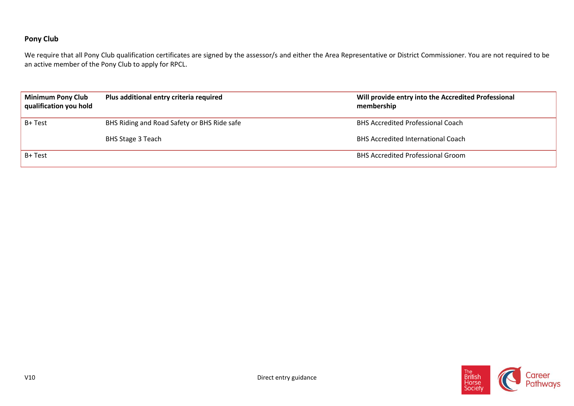## **Pony Club**

We require that all Pony Club qualification certificates are signed by the assessor/s and either the Area Representative or District Commissioner. You are not required to be an active member of the Pony Club to apply for RPCL.

| <b>Minimum Pony Club</b><br>Plus additional entry criteria required<br>qualification you hold |                                             | Will provide entry into the Accredited Professional<br>membership |  |
|-----------------------------------------------------------------------------------------------|---------------------------------------------|-------------------------------------------------------------------|--|
| B+ Test                                                                                       | BHS Riding and Road Safety or BHS Ride safe | <b>BHS Accredited Professional Coach</b>                          |  |
|                                                                                               | BHS Stage 3 Teach                           | <b>BHS Accredited International Coach</b>                         |  |
| B+ Test                                                                                       |                                             | <b>BHS Accredited Professional Groom</b>                          |  |

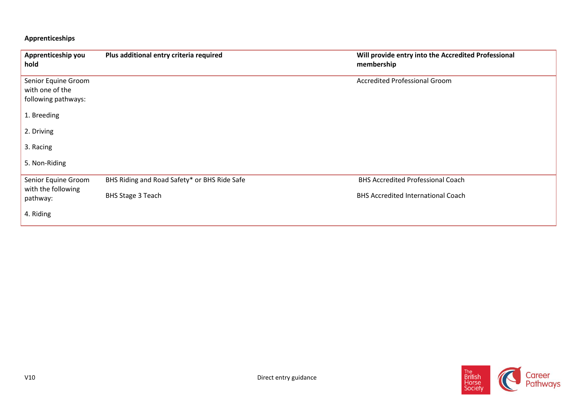## **Apprenticeships**

| Apprenticeship you<br>hold                                    | Plus additional entry criteria required      | Will provide entry into the Accredited Professional<br>membership |
|---------------------------------------------------------------|----------------------------------------------|-------------------------------------------------------------------|
| Senior Equine Groom<br>with one of the<br>following pathways: |                                              | <b>Accredited Professional Groom</b>                              |
| 1. Breeding                                                   |                                              |                                                                   |
| 2. Driving                                                    |                                              |                                                                   |
| 3. Racing                                                     |                                              |                                                                   |
| 5. Non-Riding                                                 |                                              |                                                                   |
| Senior Equine Groom                                           | BHS Riding and Road Safety* or BHS Ride Safe | <b>BHS Accredited Professional Coach</b>                          |
| with the following<br>pathway:                                | <b>BHS Stage 3 Teach</b>                     | <b>BHS Accredited International Coach</b>                         |
| 4. Riding                                                     |                                              |                                                                   |

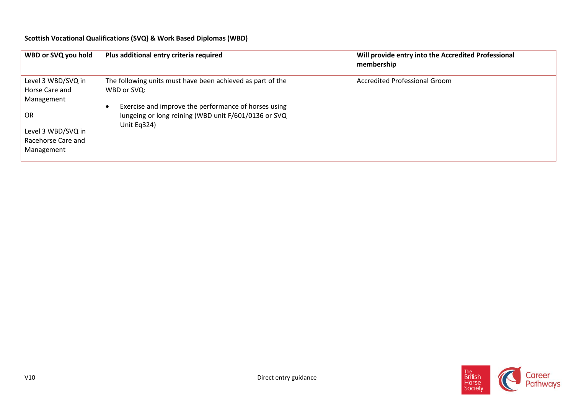## **Scottish Vocational Qualifications (SVQ) & Work Based Diplomas (WBD)**

| WBD or SVQ you hold | Plus additional entry criteria required                    | Will provide entry into the Accredited Professional<br>membership |
|---------------------|------------------------------------------------------------|-------------------------------------------------------------------|
| Level 3 WBD/SVQ in  | The following units must have been achieved as part of the | <b>Accredited Professional Groom</b>                              |
| Horse Care and      | WBD or SVQ:                                                |                                                                   |
| Management          |                                                            |                                                                   |
|                     | Exercise and improve the performance of horses using       |                                                                   |
| OR                  | lungeing or long reining (WBD unit F/601/0136 or SVQ       |                                                                   |
| Level 3 WBD/SVQ in  | Unit Eq324)                                                |                                                                   |
| Racehorse Care and  |                                                            |                                                                   |
| Management          |                                                            |                                                                   |

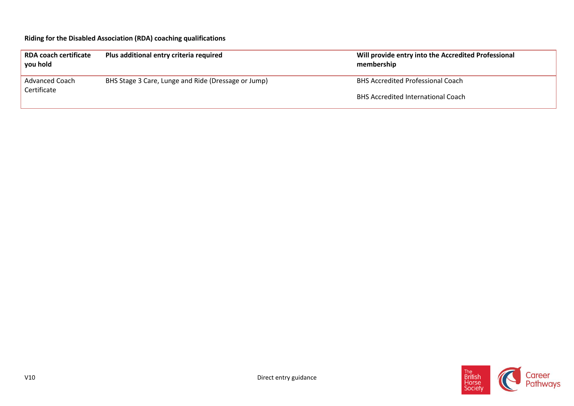## **Riding for the Disabled Association (RDA) coaching qualifications**

| <b>RDA coach certificate</b><br>you hold | Plus additional entry criteria required             | Will provide entry into the Accredited Professional<br>membership |
|------------------------------------------|-----------------------------------------------------|-------------------------------------------------------------------|
| <b>Advanced Coach</b><br>Certificate     | BHS Stage 3 Care, Lunge and Ride (Dressage or Jump) | <b>BHS Accredited Professional Coach</b>                          |
|                                          |                                                     | <b>BHS Accredited International Coach</b>                         |

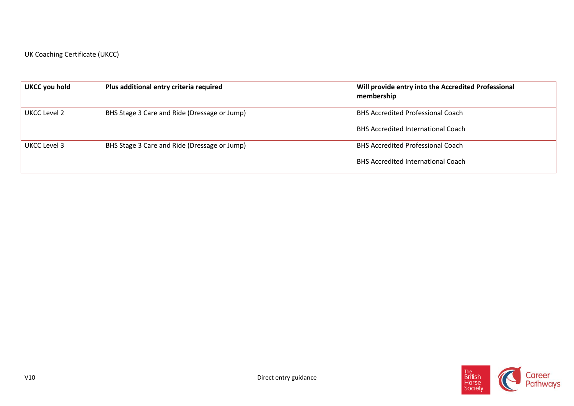UK Coaching Certificate (UKCC)

| UKCC you hold | Plus additional entry criteria required      | Will provide entry into the Accredited Professional<br>membership |
|---------------|----------------------------------------------|-------------------------------------------------------------------|
| UKCC Level 2  | BHS Stage 3 Care and Ride (Dressage or Jump) | <b>BHS Accredited Professional Coach</b>                          |
|               |                                              | <b>BHS Accredited International Coach</b>                         |
| UKCC Level 3  | BHS Stage 3 Care and Ride (Dressage or Jump) | <b>BHS Accredited Professional Coach</b>                          |
|               |                                              | <b>BHS Accredited International Coach</b>                         |

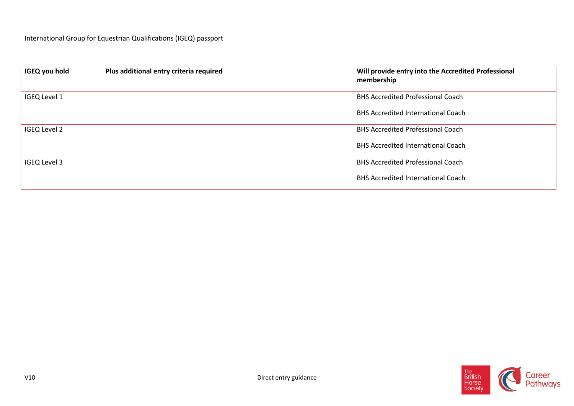| <b>IGEQ you hold</b> | Plus additional entry criteria required | Will provide entry into the Accredited Professional<br>membership |
|----------------------|-----------------------------------------|-------------------------------------------------------------------|
| IGEQ Level 1         |                                         | <b>BHS Accredited Professional Coach</b>                          |
|                      |                                         | <b>BHS Accredited International Coach</b>                         |
| <b>IGEQ Level 2</b>  |                                         | <b>BHS Accredited Professional Coach</b>                          |
|                      |                                         | <b>BHS Accredited International Coach</b>                         |
| <b>IGEQ Level 3</b>  |                                         | <b>BHS Accredited Professional Coach</b>                          |
|                      |                                         | <b>BHS Accredited International Coach</b>                         |

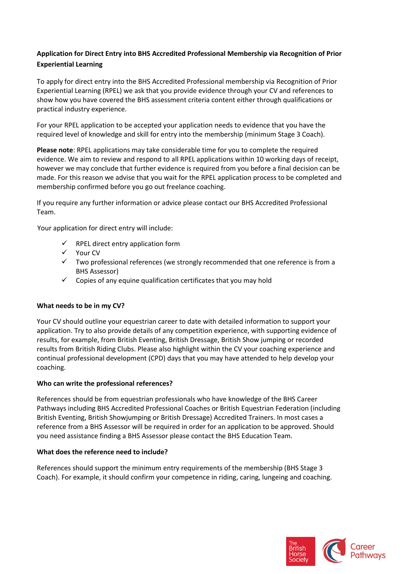## **Application for Direct Entry into BHS Accredited Professional Membership via Recognition of Prior Experiential Learning**

To apply for direct entry into the BHS Accredited Professional membership via Recognition of Prior Experiential Learning (RPEL) we ask that you provide evidence through your CV and references to show how you have covered the BHS assessment criteria content either through qualifications or practical industry experience.

For your RPEL application to be accepted your application needs to evidence that you have the required level of knowledge and skill for entry into the membership (minimum Stage 3 Coach).

**Please note**: RPEL applications may take considerable time for you to complete the required evidence. We aim to review and respond to all RPEL applications within 10 working days of receipt, however we may conclude that further evidence is required from you before a final decision can be made. For this reason we advise that you wait for the RPEL application process to be completed and membership confirmed before you go out freelance coaching.

If you require any further information or advice please contact our BHS Accredited Professional Team.

Your application for direct entry will include:

- RPEL direct entry application form
- Your CV
- Two professional references (we strongly recommended that one reference is from a BHS Assessor)
- Copies of any equine qualification certificates that you may hold

#### **What needs to be in my CV?**

Your CV should outline your equestrian career to date with detailed information to support your application. Try to also provide details of any competition experience, with supporting evidence of results, for example, from British Eventing, British Dressage, British Show jumping or recorded results from British Riding Clubs. Please also highlight within the CV your coaching experience and continual professional development (CPD) days that you may have attended to help develop your coaching.

#### **Who can write the professional references?**

References should be from equestrian professionals who have knowledge of the BHS Career Pathways including BHS Accredited Professional Coaches or British Equestrian Federation (including British Eventing, British Showjumping or British Dressage) Accredited Trainers. In most cases a reference from a BHS Assessor will be required in order for an application to be approved. Should you need assistance finding a BHS Assessor please contact the BHS Education Team.

#### **What does the reference need to include?**

References should support the minimum entry requirements of the membership (BHS Stage 3 Coach). For example, it should confirm your competence in riding, caring, lungeing and coaching.

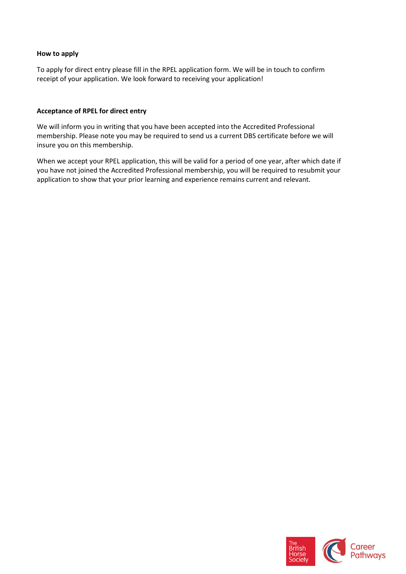#### **How to apply**

To apply for direct entry please fill in the RPEL application form. We will be in touch to confirm receipt of your application. We look forward to receiving your application!

#### **Acceptance of RPEL for direct entry**

We will inform you in writing that you have been accepted into the Accredited Professional membership. Please note you may be required to send us a current DBS certificate before we will insure you on this membership.

When we accept your RPEL application, this will be valid for a period of one year, after which date if you have not joined the Accredited Professional membership, you will be required to resubmit your application to show that your prior learning and experience remains current and relevant.

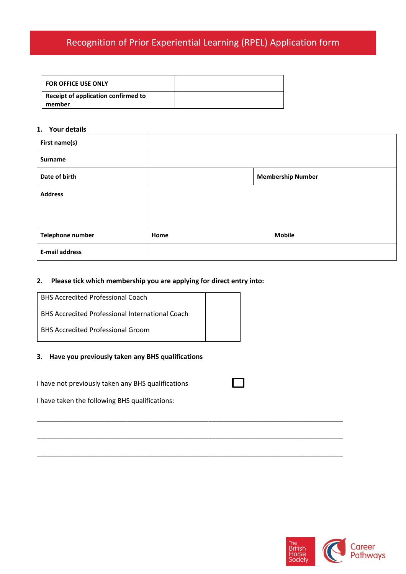# Recognition of Prior Experiential Learning (RPEL) Application form

| <b>FOR OFFICE USE ONLY</b>                      |  |
|-------------------------------------------------|--|
| Receipt of application confirmed to<br>l member |  |

#### **1. Your details**

| First name(s)           |      |                          |
|-------------------------|------|--------------------------|
| Surname                 |      |                          |
| Date of birth           |      | <b>Membership Number</b> |
| <b>Address</b>          |      |                          |
|                         |      |                          |
|                         |      |                          |
| <b>Telephone number</b> | Home | <b>Mobile</b>            |
| <b>E-mail address</b>   |      |                          |

### **2. Please tick which membership you are applying for direct entry into:**

| <b>BHS Accredited Professional Coach</b>               |  |
|--------------------------------------------------------|--|
| <b>BHS Accredited Professional International Coach</b> |  |
| <b>BHS Accredited Professional Groom</b>               |  |

#### **3. Have you previously taken any BHS qualifications**

I have not previously taken any BHS qualifications

\_\_\_\_\_\_\_\_\_\_\_\_\_\_\_\_\_\_\_\_\_\_\_\_\_\_\_\_\_\_\_\_\_\_\_\_\_\_\_\_\_\_\_\_\_\_\_\_\_\_\_\_\_\_\_\_\_\_\_\_\_\_\_\_\_\_\_\_\_\_\_\_\_\_\_\_\_\_\_\_\_\_

\_\_\_\_\_\_\_\_\_\_\_\_\_\_\_\_\_\_\_\_\_\_\_\_\_\_\_\_\_\_\_\_\_\_\_\_\_\_\_\_\_\_\_\_\_\_\_\_\_\_\_\_\_\_\_\_\_\_\_\_\_\_\_\_\_\_\_\_\_\_\_\_\_\_\_\_\_\_\_\_\_\_

\_\_\_\_\_\_\_\_\_\_\_\_\_\_\_\_\_\_\_\_\_\_\_\_\_\_\_\_\_\_\_\_\_\_\_\_\_\_\_\_\_\_\_\_\_\_\_\_\_\_\_\_\_\_\_\_\_\_\_\_\_\_\_\_\_\_\_\_\_\_\_\_\_\_\_\_\_\_\_\_\_\_

I have taken the following BHS qualifications:

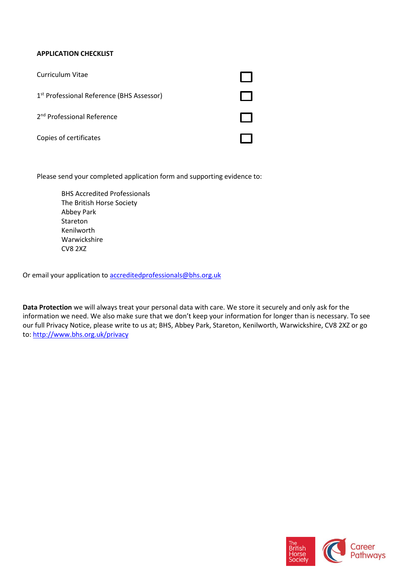#### **APPLICATION CHECKLIST**

| Curriculum Vitae                                      |  |
|-------------------------------------------------------|--|
| 1 <sup>st</sup> Professional Reference (BHS Assessor) |  |
| 2 <sup>nd</sup> Professional Reference                |  |
| Copies of certificates                                |  |

Please send your completed application form and supporting evidence to:

BHS Accredited Professionals The British Horse Society Abbey Park Stareton Kenilworth Warwickshire CV8 2XZ

Or email your application to [accreditedprofessionals@bhs.org.uk](mailto:accreditedprofessionals@bhs.org.uk)

**Data Protection** we will always treat your personal data with care. We store it securely and only ask for the information we need. We also make sure that we don't keep your information for longer than is necessary. To see our full Privacy Notice, please write to us at; BHS, Abbey Park, Stareton, Kenilworth, Warwickshire, CV8 2XZ or go to:<http://www.bhs.org.uk/privacy>